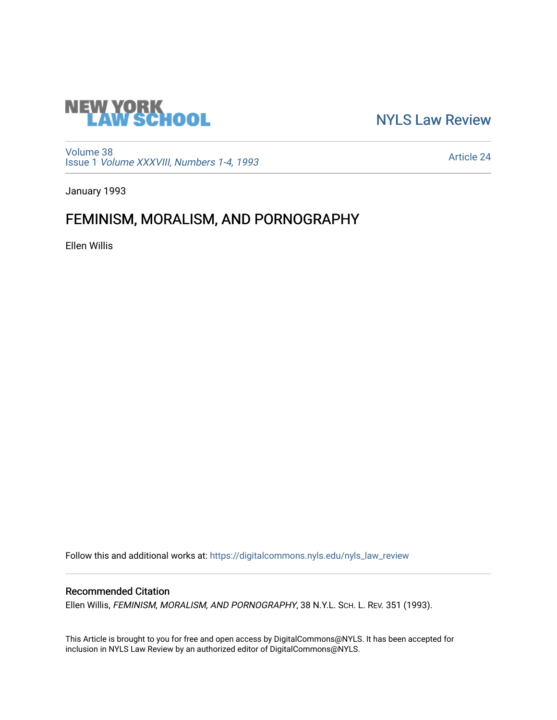

[NYLS Law Review](https://digitalcommons.nyls.edu/nyls_law_review) 

[Volume 38](https://digitalcommons.nyls.edu/nyls_law_review/vol38) Issue 1 [Volume XXXVIII, Numbers 1-4, 1993](https://digitalcommons.nyls.edu/nyls_law_review/vol38/iss1)

[Article 24](https://digitalcommons.nyls.edu/nyls_law_review/vol38/iss1/24) 

January 1993

## FEMINISM, MORALISM, AND PORNOGRAPHY

Ellen Willis

Follow this and additional works at: [https://digitalcommons.nyls.edu/nyls\\_law\\_review](https://digitalcommons.nyls.edu/nyls_law_review?utm_source=digitalcommons.nyls.edu%2Fnyls_law_review%2Fvol38%2Fiss1%2F24&utm_medium=PDF&utm_campaign=PDFCoverPages) 

## Recommended Citation

Ellen Willis, FEMINISM, MORALISM, AND PORNOGRAPHY, 38 N.Y.L. SCH. L. REV. 351 (1993).

This Article is brought to you for free and open access by DigitalCommons@NYLS. It has been accepted for inclusion in NYLS Law Review by an authorized editor of DigitalCommons@NYLS.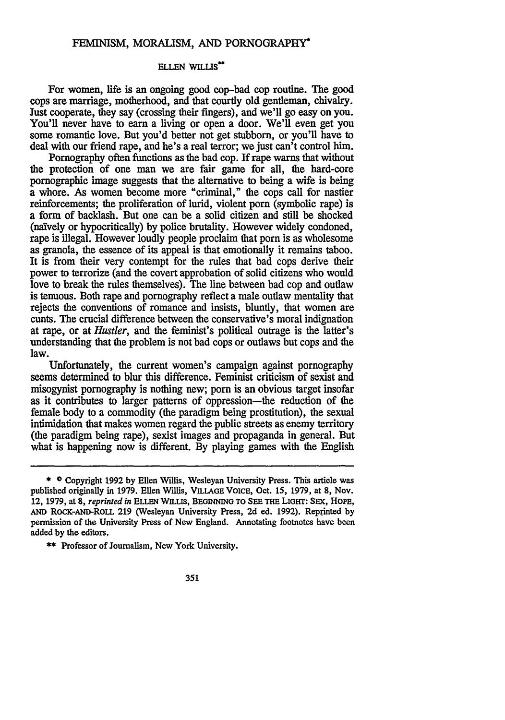## **FEMINISM, MORALISM, AND PORNOGRAPHY'**

## **ELLEN WILLIS"**

For women, life is an ongoing good cop-bad cop routine. The good cops are marriage, motherhood, and that courtly old gentleman, chivalry. Just cooperate, they say (crossing their fingers), and we'll go easy on you. You'll never have to earn a living or open a door. We'll even get you some romantic love. But you'd better not get stubborn, or you'll have to deal with our friend rape, and he's a real terror; we just can't control him.

Pornography often functions as the bad cop. If rape warns that without the protection of one man we are fair game for all, the hard-core pornographic image suggests that the alternative to being a wife is being a whore. As women become more "criminal," the cops call for nastier reinforcements; the proliferation of lurid, violent porn (symbolic rape) is a form of backlash. But one can be a solid citizen and still be shocked (naively or hypocritically) by police brutality. However widely condoned, rape is illegal. However loudly people proclaim that porn is as wholesome as granola, the essence of its appeal is that emotionally it remains taboo. It is from their very contempt for the rules that bad cops derive their power to terrorize (and the covert approbation of solid citizens who would love to break the rules themselves). The line between bad cop and outlaw is tenuous. Both rape and pornography reflect a male outlaw mentality that rejects the conventions of romance and insists, bluntly, that women are cunts. The crucial difference between the conservative's moral indignation at rape, or at *Hustler,* and the feminist's political outrage is the latter's understanding that the problem is not bad cops or outlaws but cops and the law.

Unfortunately, the current women's campaign against pornography seems determined to blur this difference. Feminist criticism of sexist and misogynist pornography is nothing new; porn is an obvious target insofar as it contributes to larger patterns of oppression-the reduction of the female body to a commodity (the paradigm being prostitution), the sexual intimidation that makes women regard the public streets as enemy territory (the paradigm being rape), sexist images and propaganda in general. But what is happening now is different. By playing games with the English

**\*\*** Professor **of** Journalism, **New** York University.

351

**<sup>\*</sup> 0** Copyright **1992 by** Ellen Willis, Wesleyan University Press. **This** article **was published originally in 1979.** Ellen **Willis, VILLAGE VOICE, Oct. 15, 1979, at 8, Nov. 12, 1979, at 8,** *reprinted in* **ELLEN WILLIS, BEGINNING TO SEE THE LIGHT: SEX, HOPE, AND ROCK-AND-ROLL 219 (Wesleyan University Press, 2d ed. 1992). Reprinted by permission of the University Press of New England. Annotating footnotes have been added by** the editors.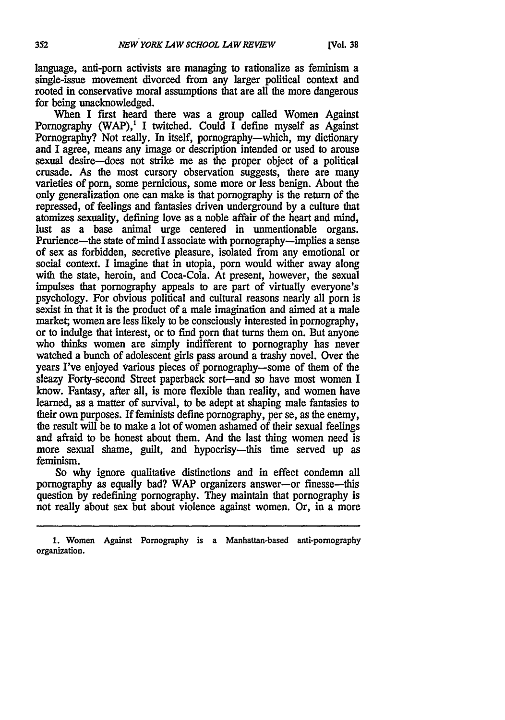language, anti-porn activists are managing to rationalize as feminism a single-issue movement divorced from any larger political context and rooted in conservative moral assumptions that are all the more dangerous for being unacknowledged.

When I first heard there was a group called Women Against Pornography (WAP),<sup>1</sup> I twitched. Could I define myself as Against Pornography? Not really. In itself, pornography-which, my dictionary and I agree, means any image or description intended or used to arouse sexual desire-does not strike me as the proper object of a political crusade. As the most cursory observation suggests, there are many varieties of porn, some pernicious, some more or less benign. About the only generalization one can make is that pornography is the return of the repressed, of feelings and fantasies driven underground by a culture that atomizes sexuality, defining love as a noble affair of the heart and mind, lust as a base animal urge centered in unmentionable organs. Prurience-the state of mind **I** associate with pornography-implies a sense of sex as forbidden, secretive pleasure, isolated from any emotional or social context. I imagine that in utopia, porn would wither away along with the state, heroin, and Coca-Cola. At present, however, the sexual impulses that pornography appeals to are part of virtually everyone's psychology. For obvious political and cultural reasons nearly all porn is sexist in that it is the product of a male imagination and aimed at a male market; women are less likely to be consciously interested in pornography, or to indulge that interest, or to find porn that turns them on. But anyone who thinks women are simply indifferent to pornography has never watched a bunch of adolescent girls pass around a trashy novel. Over the years I've enjoyed various pieces of pornography-some of them of the sleazy Forty-second Street paperback sort-and so have most women I know. Fantasy, after all, is more flexible than reality, and women have learned, as a matter of survival, to be adept at shaping male fantasies to their own purposes. If feminists define pornography, per se, as the enemy, the result will be to make a lot of women ashamed of their sexual feelings and afraid to be honest about them. And the last thing women need is more sexual shame, guilt, and hypocrisy-this time served up as feminism.

So why ignore qualitative distinctions and in effect condemn all pornography as equally bad? WAP organizers answer-or finesse-this question by redefining pornography. They maintain that pornography is not really about sex but about violence against women. Or, in a more

**<sup>1.</sup>** Women Against Pornography is a Manhattan-based anti-pornography organization.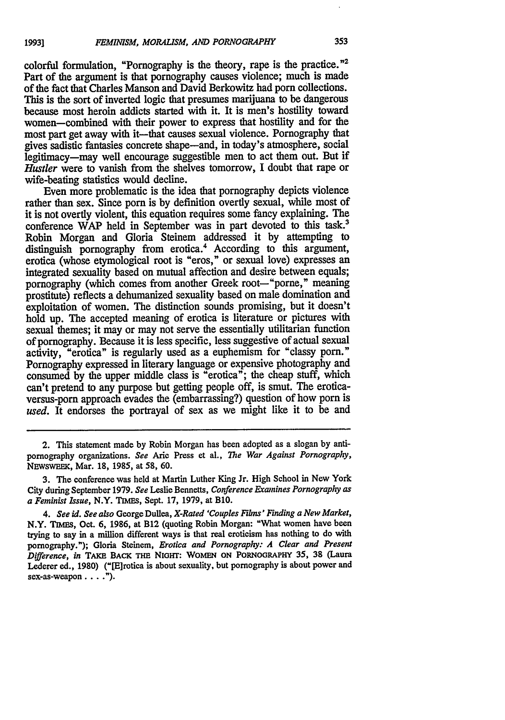colorful formulation, "Pornography is the theory, rape is the practice."<sup>2</sup> Part of the argument is that pornography causes violence; much is made of the fact that Charles Manson and David Berkowitz had porn collections. This is the sort of inverted logic that presumes marijuana to be dangerous because most heroin addicts started with it. It is men's hostility toward women-combined with their power to express that hostility and for the most part get away with it-that causes sexual violence. Pornography that gives sadistic fantasies concrete shape-and, in today's atmosphere, social legitimacy-may well encourage suggestible men to act them out. But if *Hustler* were to vanish from the shelves tomorrow, I doubt that rape or wife-beating statistics would decline.

Even more problematic is the idea that pornography depicts violence rather than sex. Since porn is by definition overtly sexual, while most of it is not overtly violent, this equation requires some fancy explaining. The conference WAP held in September was in part devoted to this task.<sup>3</sup> Robin Morgan and Gloria Steinem addressed it by attempting to distinguish pornography from erotica.4 According to this argument, erotica (whose etymological root is "eros," or sexual love) expresses an integrated sexuality based on mutual affection and desire between equals; pornography (which comes from another Greek root-"porne," meaning prostitute) reflects a dehumanized sexuality based on male domination and exploitation of women. The distinction sounds promising, but it doesn't hold up. The accepted meaning of erotica is literature or pictures with sexual themes; it may or may not serve the essentially utilitarian function of pornography. Because it is less specific, less suggestive of actual sexual activity, "erotica" is regularly used as a euphemism for "classy porn." Pornography expressed in literary language or expensive photography and consumed by the upper middle class is "erotica"; the cheap stuff, which can't pretend to any purpose but getting people off, is smut. The eroticaversus-porn approach evades the (embarrassing?) question of how porn is *used.* It endorses the portrayal of sex as we might like it to be and

2. This statement made **by** Robin Morgan has been adopted as a slogan by antipornography organizations. *See* Aric Press et al., *The War Against Pornography,* **NEWSWEEK,** Mar. **18, 1985,** at *58,* **60.**

3. The conference was held at Martin Luther King Jr. High School in New York City during September 1979. *See* Leslie Bennetts, *Conference Examines Pornography as a Feminist Issue,* N.Y. **TIMES,** Sept. **17,** 1979, at B10.

*4. See id. See also* George Dullea, *X-Rated 'Couples Films' Finding a New Market,* N.Y. **TIMES,** Oct. 6, 1986, at B12 (quoting Robin Morgan: "What women have been trying to say in a million different ways is that real eroticism has nothing to do with pornography."); Gloria Steinem, *Erotica and Pornography: A Clear and Present Difference, in* **TAKE BACK THE** NIGHT: WOMEN **ON PORNOGRAPHY** *35,* **38** (Laura Lederer ed., **1980)** ("[E]rotica is about sexuality, but pornography is about power and sex-as-weapon . . . . ").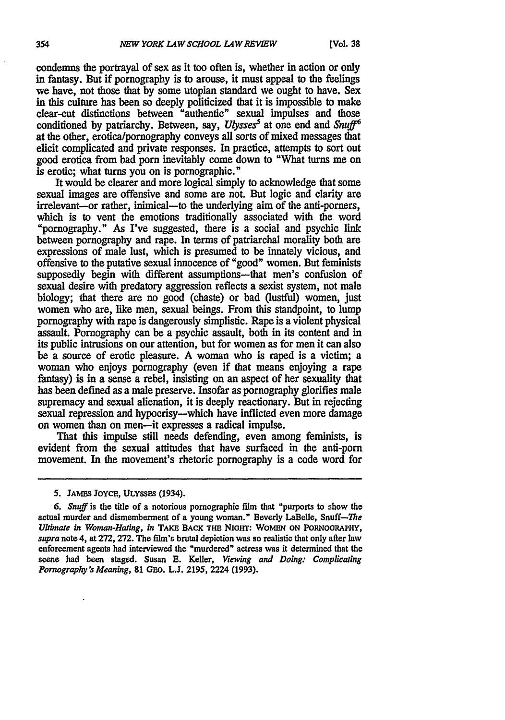condemns the portrayal of sex as it too often is, whether in action or only in fantasy. But if pornography is to arouse, it must appeal to the feelings we have, not those that **by** some utopian standard we ought to have. Sex in this culture has been so deeply politicized that it is impossible to make clear-cut distinctions between "authentic" sexual impulses and those conditioned by patriarchy. Between, say, *Ulysses*<sup>5</sup> at one end and *Snuff<sup>6</sup>* at the other, erotica/pornography conveys all sorts of mixed messages that elicit complicated and private responses. In practice, attempts to sort out good erotica from bad porn inevitably come down to "What turns me on is erotic; what turns you on is pornographic."

It would be clearer and more logical simply to acknowledge that some sexual images are offensive and some are not. But logic and clarity are irrelevant-or rather, inimical-to the underlying aim of the anti-porners, which is to vent the emotions traditionally associated with the word "pornography." As I've suggested, there is a social and psychic link between pornography and rape. In terms of patriarchal morality both are expressions of male lust, which is presumed to be innately vicious, and offensive to the putative sexual innocence of "good" women. But feminists supposedly begin with different assumptions—that men's confusion of sexual desire with predatory aggression reflects a sexist system, not male biology; that there are no good (chaste) or bad (lustful) women, just women who are, like men, sexual beings. From this standpoint, to lump pornography with rape is dangerously simplistic. Rape is a violent physical assault. Pornography can be a psychic assault, both in its content and in its public intrusions on our attention, but for women as for men it can also **be** a source of erotic pleasure. **A** woman who is raped is a victim; a woman who enjoys pornography (even if that means enjoying a rape fantasy) is in a sense a rebel, insisting on an aspect of her sexuality that has been defined as a male preserve. Insofar as pornography glorifies male supremacy and sexual alienation, it is deeply reactionary. But in rejecting sexual repression and hypocrisy-which have inflicted even more damage on women than on men-it expresses a radical impulse.

That this impulse still needs defending, even among feminists, is evident from the sexual attitudes that have surfaced in the anti-porn movement. In the movement's rhetoric pornography is a code word for

*<sup>5.</sup>* **JAMES JOYCE, ULYSSES (1934).**

**<sup>6.</sup>** *Snuff* is the title of a notorious pornographic film that "purports to show the actual murder and dismemberment of a young woman." Beverly LaBelle, Snuff-7he *Ultimate in Woman-Hating, in* **TAKE** BACK **THE NIoHT:** WOMEN **ON PORNOORAPHY,** supra note 4, at **272, 272.** The film's brutal depiction was so realistic that only after law enforcement agents had interviewed the "murdered" actress was it determined that the scene had been staged. Susan **E.** Keller, *Viewing and Doing: Complicating Pornography's Meaning,* **81 CEO. L.J. 2195,** 2224 (1993).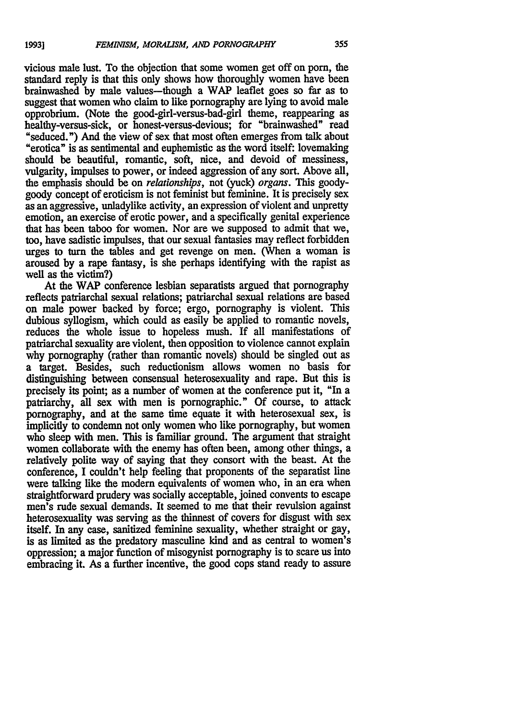19931

vicious male lust. To the objection that some women get off on porn, the standard reply is that this only shows how thoroughly women have been brainwashed by male values-though a WAP leaflet goes so far as to suggest that women who claim to like pornography are lying to avoid male opprobrium. (Note the good-girl-versus-bad-girl theme, reappearing as healthy-versus-sick, or honest-versus-devious; for "brainwashed" read "seduced.") And the view of sex that most often emerges from talk about "erotica" is as sentimental and euphemistic as the word itself: lovemaking should be beautiful, romantic, soft, nice, and devoid of messiness, vulgarity, impulses to power, or indeed aggression of any sort. Above all, the emphasis should be on *relationships,* not (yuck) *organs.* This goodygoody concept of eroticism is not feminist but feminine. It is precisely sex as an aggressive, unladylike activity, an expression of violent and unpretty emotion, an exercise of erotic power, and a specifically genital experience that has been taboo for women. Nor are we supposed to admit that we, too, have sadistic impulses, that our sexual fantasies may reflect forbidden urges **to** turn the tables and get revenge on men. (When a woman is aroused by a rape fantasy, is she perhaps identifying with the rapist as well as the victim?)

At the WAP conference lesbian separatists argued that pornography reflects patriarchal sexual relations; patriarchal sexual relations are based on male power backed by force; ergo, pornography is violent. This dubious syllogism, which could as easily be applied to romantic novels, reduces the whole issue to hopeless mush. If all manifestations of patriarchal sexuality are violent, then opposition to violence cannot explain why pornography (rather than romantic novels) should be singled out as a target. Besides, such reductionism allows women no basis for distinguishing between consensual heterosexuality and rape. But this is precisely its point; as a number of women at the conference put it, "In a patriarchy, all sex with men is pornographic." Of course, to attack pornography, and at the same time equate it with heterosexual sex, is implicitly to condemn not only women who like pornography, but women who sleep with men. This is familiar ground. The argument that straight women collaborate with the enemy has often been, among other things, a relatively polite way of saying that they consort with the beast. At the conference, I couldn't help feeling that proponents of the separatist line were talking like the modern equivalents of women who, in an era when straightforward prudery was socially acceptable, joined convents to escape men's rude sexual demands. It seemed to me that their revulsion against heterosexuality was serving as the thinnest of covers for disgust with sex itself. In any case, sanitized feminine sexuality, whether straight or gay, is as limited as the predatory masculine kind and as central to women's oppression; a major function of misogynist pornography is to scare us into embracing it. As a further incentive, the good cops stand ready to assure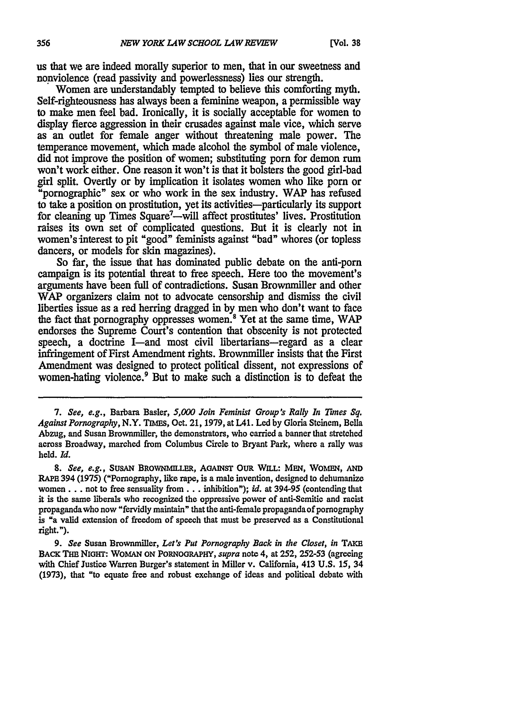us that we are indeed morally superior to men, that in our sweetness and nonviolence (read passivity and powerlessness) lies our strength.

Women are understandably tempted to believe this comforting myth. Self-righteousness has always been a feminine weapon, a permissible way to make men feel bad. Ironically, it is socially acceptable for women to display fierce aggression in their crusades against male vice, which serve as an outlet for female anger without threatening male power. The temperance movement, which made alcohol the symbol of male violence, did not improve the position of women; substituting porn for demon rum won't work either. One reason it won't is that it bolsters the good girl-bad girl split. Overtly or by implication it isolates women who like porn or pornographic<sup>"</sup> sex or who work in the sex industry. WAP has refused to take a position on prostitution, yet its activities-particularly its support for cleaning up Times Square<sup>7</sup>-will affect prostitutes' lives. Prostitution raises its own set of complicated questions. But it is clearly not in women's interest to pit "good" feminists against "bad" whores (or topless dancers, or models for skin magazines).

So far, the issue that has dominated public debate on the anti-porn campaign is its potential threat to free speech. Here too the movement's arguments have been full of contradictions. Susan Brownmiller and other WAP organizers claim not to advocate censorship and dismiss the civil liberties issue as a red herring dragged in by men who don't want to face the fact that pornography oppresses women.<sup>8</sup> Yet at the same time, WAP endorses the Supreme Court's contention that obscenity is not protected speech, a doctrine I-and most civil libertarians-regard as a clear infringement of First Amendment rights. Brownmiller insists that the First Amendment was designed to protect political dissent, not expressions of women-hating violence.<sup>9</sup> But to make such a distinction is to defeat the

*9. See* Susan Brownmiller, *Let's Put Pornography Back in the Closet, in TAKi* BACK THE NIGHT: **WOMAN** ON PORNOGRAPHY, *supra* note 4, at **252, 252-53** (agreeing with Chief Justice Warren Burger's statement in Miller v. California, 413 **U.S. 15,** 34 **(1973),** that "to equate free and robust exchange of ideas and political debate with

<sup>7.</sup> See, e.g., Barbara Basler, *5,000 Join Feminist Group's Rally In Tunes Sq.* Against Pornography, N.Y. TIMES, Oct. 21, 1979, at L41. Led by Gloria Steinem, Bella Abzug, and Susan Brownmiller, the demonstrators, who carried a banner that stretched across Broadway, marched from Columbus Circle to Bryant Park, where a rally was held. *Id.*

<sup>8.</sup> *See, e.g.*, SUSAN BROWNMILLER, AGAINST OUR WILL: MEN, WOMEN, AND RAPE 394 (1975) ("Pornography, like rape, is a male invention, designed to dehumanize women **...** not to free sensuality from... inhibition"); *id.* at 394-95 (contending that it is the same liberals who recognized the oppressive power of anti-Semitic and racist propaganda who now "fervidly maintain" that the anti-female propaganda of pornography is "a valid extension of freedom of speech that must be preserved as a Constitutional right.").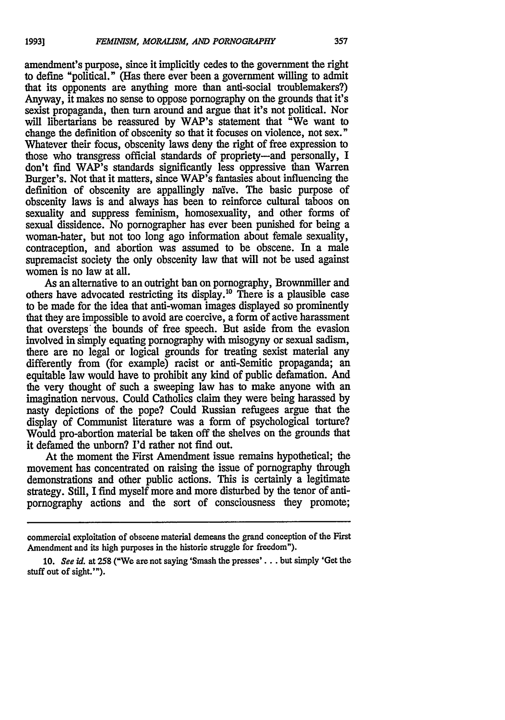amendment's purpose, since it implicitly cedes to the government the right to define "political." (Has there ever been a government willing to admit that its opponents are anything more than anti-social troublemakers?) Anyway, it makes no sense to oppose pornography on the grounds that it's sexist propaganda, then turn around and argue that it's not political. Nor will libertarians be reassured by WAP's statement that "We want to change the definition of obscenity so that it focuses on violence, not sex." Whatever their focus, obscenity laws deny the right of free expression to those who transgress official standards of propriety-and personally, I don't find WAP's standards significantly less oppressive than Warren Burger's. Not that it matters, since WAP's fantasies about influencing the definition of obscenity are appallingly naïve. The basic purpose of obscenity laws is and always has been to reinforce cultural taboos on sexuality and suppress feminism, homosexuality, and other forms of sexual dissidence. No pornographer has ever been punished for being a woman-hater, but not too long ago information about female sexuality, contraception, and abortion was assumed to be obscene. In a male supremacist society the only obscenity law that will not be used against women is no law at all.

As an alternative to an outright ban on pornography, Brownmiller and others have advocated restricting its display.<sup>10</sup> There is a plausible case to be made for the idea that anti-woman images displayed so prominently that they are impossible to avoid are coercive, a form of active harassment that oversteps'the bounds of free speech. But aside from the evasion involved in simply equating pornography with misogyny or sexual sadism, there are no legal or logical grounds for treating sexist material any differently from (for example) racist or anti-Semitic propaganda; an equitable law would have to prohibit any kind of public defamation. And the very thought of such a sweeping law has to make anyone with an imagination nervous. Could Catholics claim they were being harassed by nasty depictions of the pope? Could Russian refugees argue that the display of Communist literature was a form of psychological torture? Would pro-abortion material be taken off the shelves on the grounds that it defamed the unborn? I'd rather not find out.

At the moment the First Amendment issue remains hypothetical; the movement has concentrated on raising the issue of pornography through demonstrations and other public actions. This is certainly a legitimate strategy. Still, I find myself more and more disturbed by the tenor of antipornography actions and the sort of consciousness they promote;

commercial exploitation of obscene material demeans the grand conception of the First Amendment and its high purposes in the historic struggle for freedom").

<sup>10.</sup> *See id.* at 258 ("We are not saying 'Smash the presses'... but simply 'Get the stuff out of sight.'").